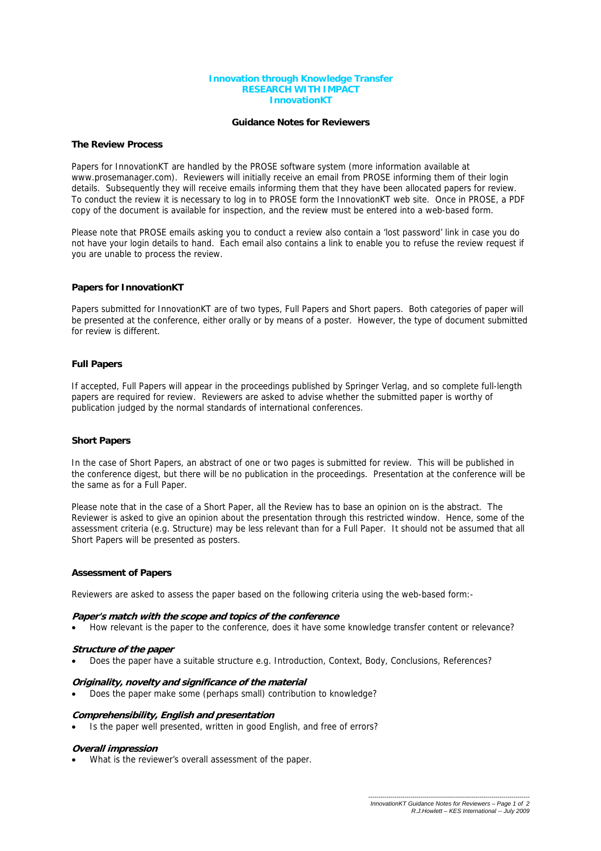#### **Innovation through Knowledge Transfer RESEARCH WITH IMPACT InnovationKT**

## **Guidance Notes for Reviewers**

## **The Review Process**

Papers for InnovationKT are handled by the PROSE software system (more information available at www.prosemanager.com). Reviewers will initially receive an email from PROSE informing them of their login details. Subsequently they will receive emails informing them that they have been allocated papers for review. To conduct the review it is necessary to log in to PROSE form the InnovationKT web site. Once in PROSE, a PDF copy of the document is available for inspection, and the review must be entered into a web-based form.

Please note that PROSE emails asking you to conduct a review also contain a 'lost password' link in case you do not have your login details to hand. Each email also contains a link to enable you to refuse the review request if you are unable to process the review.

# **Papers for InnovationKT**

Papers submitted for InnovationKT are of two types, Full Papers and Short papers. Both categories of paper will be presented at the conference, either orally or by means of a poster. However, the type of document submitted for review is different.

# **Full Papers**

If accepted, Full Papers will appear in the proceedings published by Springer Verlag, and so complete full-length papers are required for review. Reviewers are asked to advise whether the submitted paper is worthy of publication judged by the normal standards of international conferences.

## **Short Papers**

In the case of Short Papers, an abstract of one or two pages is submitted for review. This will be published in the conference digest, but there will be no publication in the proceedings. Presentation at the conference will be the same as for a Full Paper.

Please note that in the case of a Short Paper, all the Review has to base an opinion on is the abstract. The Reviewer is asked to give an opinion about the presentation through this restricted window. Hence, some of the assessment criteria (e.g. Structure) may be less relevant than for a Full Paper. It should not be assumed that all Short Papers will be presented as posters.

## **Assessment of Papers**

Reviewers are asked to assess the paper based on the following criteria using the web-based form:-

## **Paper's match with the scope and topics of the conference**

• How relevant is the paper to the conference, does it have some knowledge transfer content or relevance?

## **Structure of the paper**

• Does the paper have a suitable structure e.g. Introduction, Context, Body, Conclusions, References?

## **Originality, novelty and significance of the material**

• Does the paper make some (perhaps small) contribution to knowledge?

## **Comprehensibility, English and presentation**

Is the paper well presented, written in good English, and free of errors?

#### **Overall impression**

What is the reviewer's overall assessment of the paper.